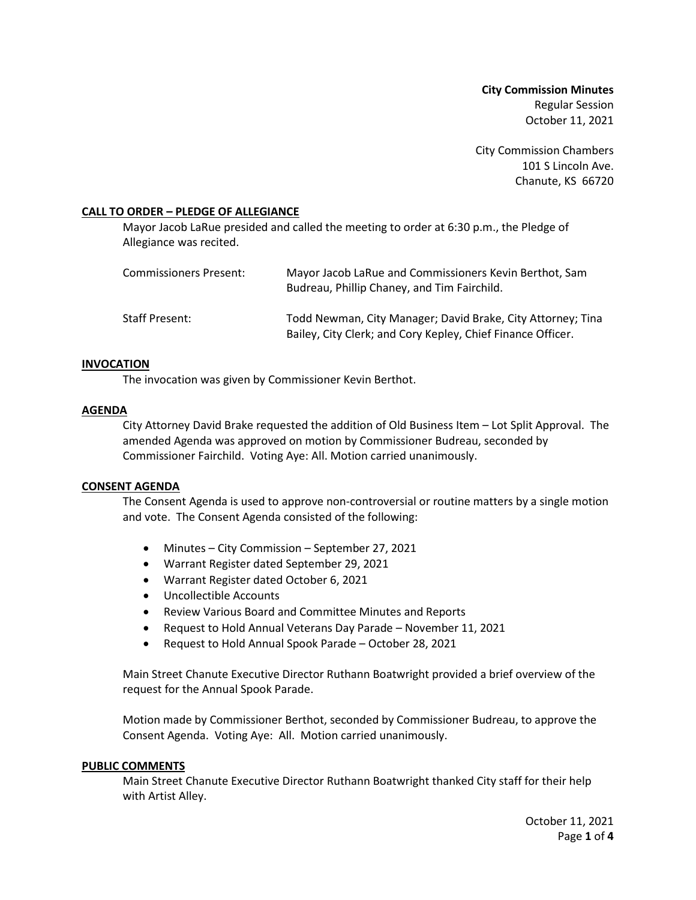**City Commission Minutes** Regular Session October 11, 2021

City Commission Chambers 101 S Lincoln Ave. Chanute, KS 66720

## **CALL TO ORDER – PLEDGE OF ALLEGIANCE**

Mayor Jacob LaRue presided and called the meeting to order at 6:30 p.m., the Pledge of Allegiance was recited.

| Commissioners Present: | Mayor Jacob LaRue and Commissioners Kevin Berthot, Sam<br>Budreau, Phillip Chaney, and Tim Fairchild.                      |
|------------------------|----------------------------------------------------------------------------------------------------------------------------|
| Staff Present:         | Todd Newman, City Manager; David Brake, City Attorney; Tina<br>Bailey, City Clerk; and Cory Kepley, Chief Finance Officer. |

#### **INVOCATION**

The invocation was given by Commissioner Kevin Berthot.

#### **AGENDA**

City Attorney David Brake requested the addition of Old Business Item – Lot Split Approval. The amended Agenda was approved on motion by Commissioner Budreau, seconded by Commissioner Fairchild. Voting Aye: All. Motion carried unanimously.

#### **CONSENT AGENDA**

The Consent Agenda is used to approve non-controversial or routine matters by a single motion and vote. The Consent Agenda consisted of the following:

- Minutes City Commission September 27, 2021
- Warrant Register dated September 29, 2021
- Warrant Register dated October 6, 2021
- Uncollectible Accounts
- Review Various Board and Committee Minutes and Reports
- Request to Hold Annual Veterans Day Parade November 11, 2021
- Request to Hold Annual Spook Parade October 28, 2021

Main Street Chanute Executive Director Ruthann Boatwright provided a brief overview of the request for the Annual Spook Parade.

Motion made by Commissioner Berthot, seconded by Commissioner Budreau, to approve the Consent Agenda. Voting Aye: All. Motion carried unanimously.

#### **PUBLIC COMMENTS**

Main Street Chanute Executive Director Ruthann Boatwright thanked City staff for their help with Artist Alley.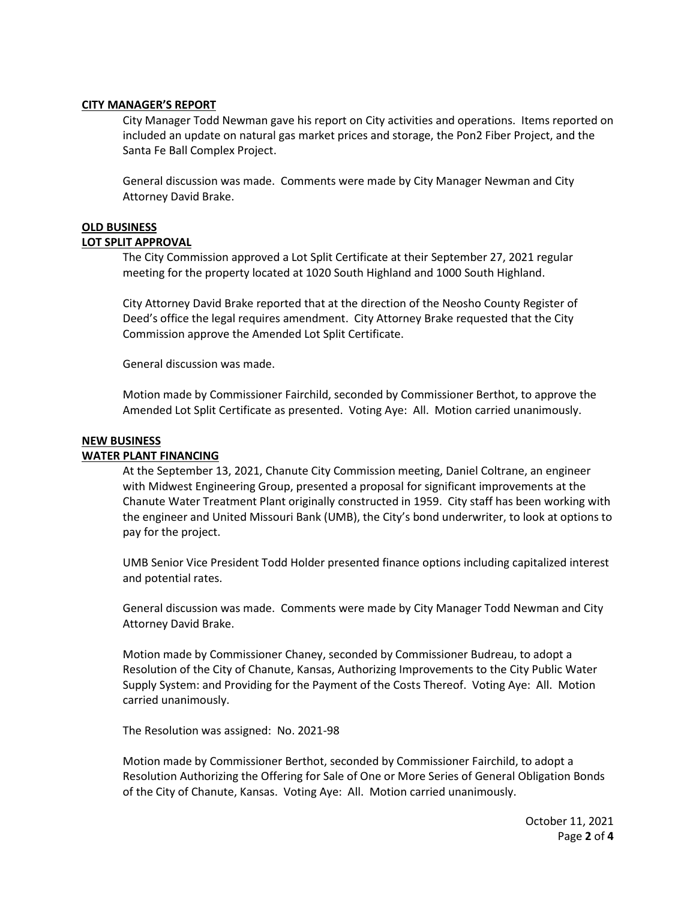#### **CITY MANAGER'S REPORT**

City Manager Todd Newman gave his report on City activities and operations. Items reported on included an update on natural gas market prices and storage, the Pon2 Fiber Project, and the Santa Fe Ball Complex Project.

General discussion was made. Comments were made by City Manager Newman and City Attorney David Brake.

## **OLD BUSINESS**

## **LOT SPLIT APPROVAL**

The City Commission approved a Lot Split Certificate at their September 27, 2021 regular meeting for the property located at 1020 South Highland and 1000 South Highland.

City Attorney David Brake reported that at the direction of the Neosho County Register of Deed's office the legal requires amendment. City Attorney Brake requested that the City Commission approve the Amended Lot Split Certificate.

General discussion was made.

Motion made by Commissioner Fairchild, seconded by Commissioner Berthot, to approve the Amended Lot Split Certificate as presented. Voting Aye: All. Motion carried unanimously.

#### **NEW BUSINESS**

## **WATER PLANT FINANCING**

At the September 13, 2021, Chanute City Commission meeting, Daniel Coltrane, an engineer with Midwest Engineering Group, presented a proposal for significant improvements at the Chanute Water Treatment Plant originally constructed in 1959. City staff has been working with the engineer and United Missouri Bank (UMB), the City's bond underwriter, to look at options to pay for the project.

UMB Senior Vice President Todd Holder presented finance options including capitalized interest and potential rates.

General discussion was made. Comments were made by City Manager Todd Newman and City Attorney David Brake.

Motion made by Commissioner Chaney, seconded by Commissioner Budreau, to adopt a Resolution of the City of Chanute, Kansas, Authorizing Improvements to the City Public Water Supply System: and Providing for the Payment of the Costs Thereof. Voting Aye: All. Motion carried unanimously.

The Resolution was assigned: No. 2021-98

Motion made by Commissioner Berthot, seconded by Commissioner Fairchild, to adopt a Resolution Authorizing the Offering for Sale of One or More Series of General Obligation Bonds of the City of Chanute, Kansas. Voting Aye: All. Motion carried unanimously.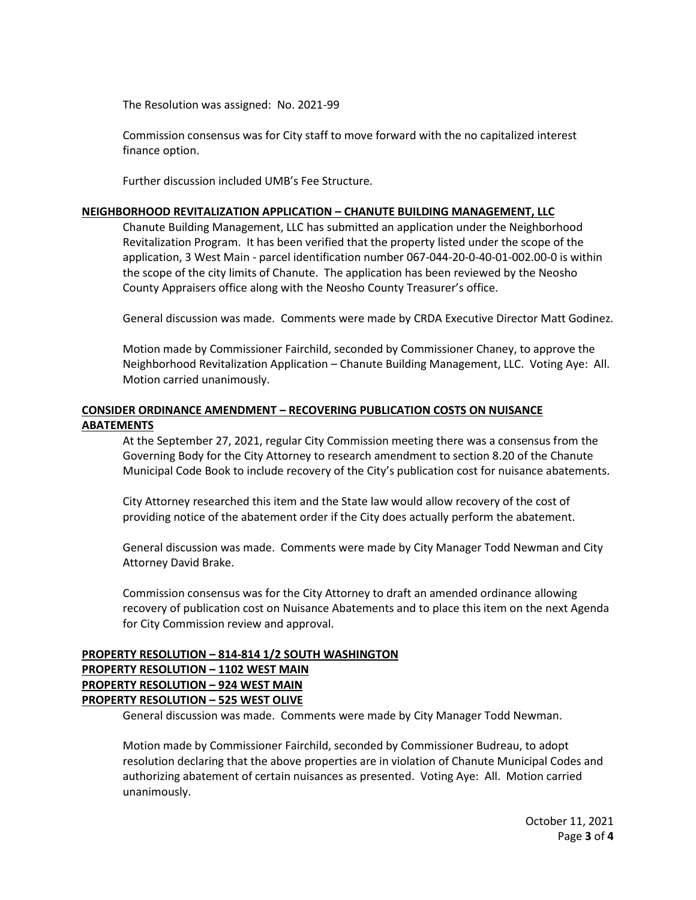The Resolution was assigned: No. 2021-99

Commission consensus was for City staff to move forward with the no capitalized interest finance option.

Further discussion included UMB's Fee Structure.

## **NEIGHBORHOOD REVITALIZATION APPLICATION – CHANUTE BUILDING MANAGEMENT, LLC**

Chanute Building Management, LLC has submitted an application under the Neighborhood Revitalization Program. It has been verified that the property listed under the scope of the application, 3 West Main - parcel identification number 067-044-20-0-40-01-002.00-0 is within the scope of the city limits of Chanute. The application has been reviewed by the Neosho County Appraisers office along with the Neosho County Treasurer's office.

General discussion was made. Comments were made by CRDA Executive Director Matt Godinez.

Motion made by Commissioner Fairchild, seconded by Commissioner Chaney, to approve the Neighborhood Revitalization Application – Chanute Building Management, LLC. Voting Aye: All. Motion carried unanimously.

# **CONSIDER ORDINANCE AMENDMENT – RECOVERING PUBLICATION COSTS ON NUISANCE ABATEMENTS**

At the September 27, 2021, regular City Commission meeting there was a consensus from the Governing Body for the City Attorney to research amendment to section 8.20 of the Chanute Municipal Code Book to include recovery of the City's publication cost for nuisance abatements.

City Attorney researched this item and the State law would allow recovery of the cost of providing notice of the abatement order if the City does actually perform the abatement.

General discussion was made. Comments were made by City Manager Todd Newman and City Attorney David Brake.

Commission consensus was for the City Attorney to draft an amended ordinance allowing recovery of publication cost on Nuisance Abatements and to place this item on the next Agenda for City Commission review and approval.

# **PROPERTY RESOLUTION – 814-814 1/2 SOUTH WASHINGTON PROPERTY RESOLUTION – 1102 WEST MAIN PROPERTY RESOLUTION – 924 WEST MAIN PROPERTY RESOLUTION – 525 WEST OLIVE**

General discussion was made. Comments were made by City Manager Todd Newman.

Motion made by Commissioner Fairchild, seconded by Commissioner Budreau, to adopt resolution declaring that the above properties are in violation of Chanute Municipal Codes and authorizing abatement of certain nuisances as presented. Voting Aye: All. Motion carried unanimously.